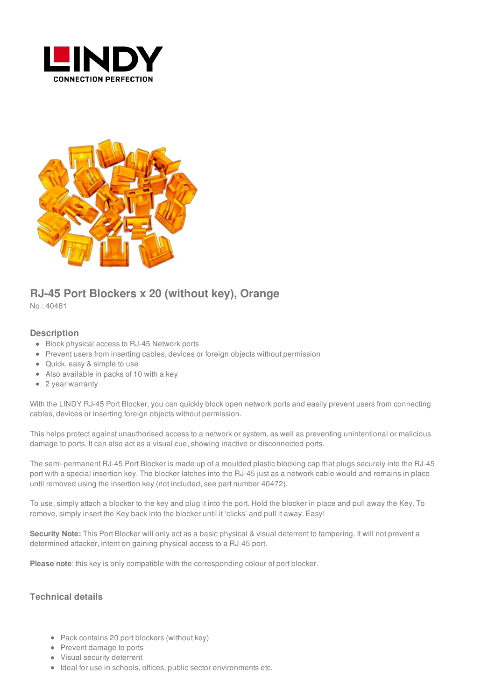



## **RJ-45 Port Blockers x 20 (without key), Orange**

No.: 40481

## **Description**

- **Block physical access to RJ-45 Network ports**
- Prevent users from inserting cables, devices or foreign objects without permission
- Quick, easy & simple to use
- Also available in packs of 10 with a key
- 2 year warranty

With the LINDY RJ-45 Port Blocker, you can quickly block open network ports and easily prevent users from connecting cables, devices or inserting foreign objects without permission.

This helps protect against unauthorised access to a network or system, as well as preventing unintentional or malicious damage to ports. It can also act as a visual cue, showing inactive or disconnected ports.

The semi-permanent RJ-45 Port Blocker is made up of a moulded plastic blocking cap that plugs securely into the RJ-45 port with a special insertion key. The blocker latches into the RJ-45 just as a network cable would and remains in place until removed using the insertion key (not included, see part number 40472).

To use, simply attach a blocker to the key and plug it into the port. Hold the blocker in place and pull away the Key. To remove, simply insert the Key back into the blocker until it 'clicks' and pull it away. Easy!

**Security Note:** This Port Blocker will only act as a basic physical & visual deterrent to tampering. It will not prevent a determined attacker, intent on gaining physical access to a RJ-45 port.

**Please note**: this key is only compatible with the corresponding colour of port blocker.

## **Technical details**

- Pack contains 20 port blockers (without key)
- Prevent damage to ports
- Visual security deterrent
- Ideal for use in schools, offices, public sector environments etc.